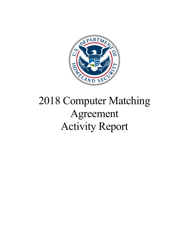

# 2018 Computer Matching Agreement Activity Report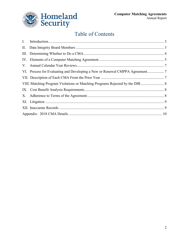

# Table of Contents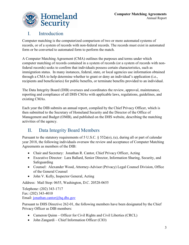

#### <span id="page-2-0"></span>I. Introduction

Computer matching is the computerized comparison of two or more automated systems of records, or of a system of records with non-federal records. The records must exist in automated form or be converted to automated form to perform the match.

A Computer Matching Agreement (CMA) outlines the purposes and terms under which computer matching of records contained in a system of records (or a system of records with nonfederal records) seeks to confirm that individuals possess certain characteristics, such as immigration status. In many instances, federal, state, or local agencies use information obtained through a CMA to help determine whether to grant or deny an individual's application (i.e., recipients and beneficiaries) for public benefits, or terminate benefits provided to an individual.

The Data Integrity Board (DIB) oversees and coordinates the review, approval, maintenance, reporting and compliance of all DHS CMAs with applicable laws, regulations, guidelines, and existing CMAs.

Each year the DIB submits an annual report, compiled by the Chief Privacy Officer, which is then submitted to the Secretary of Homeland Security and the Director of the Office of Management and Budget (OMB), and published on the DHS website, describing the matching activities of the agency.

### <span id="page-2-1"></span>II. Data Integrity Board Members

Pursuant to the statutory requirements of 5 U.S.C. § 552a(o), (u), during all or part of calendar year 2018, the following individuals oversaw the review and acceptance of Computer Matching Agreements as members of the DIB:

- Chair and Secretary: Jonathan R. Cantor, Chief Privacy Officer, Acting
- Executive Director: Lara Ballard, Senior Director, Information Sharing, Security, and Safeguarding
- Counsel: Alexander Wood, Attorney-Advisor (Privacy) Legal Counsel Division, Office of the General Counsel
- John V. Kelly, Inspector General, Acting

Address: Mail Stop: 0655, Washington, D.C. 20528-0655

Telephone: (202) 343-1717 Fax: (202) 343-4010 Email: [jonathan.cantor@hq.dhs.gov](mailto:jonathan.cantor@hq.dhs.gov)

Pursuant to DHS Directive 262-01, the following members have been designated by the Chief Privacy Officer as DIB members:

- Cameron Quinn Officer for Civil Rights and Civil Liberties (CRCL)
- John Zangardi Chief Information Officer (CIO)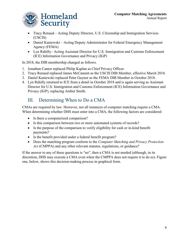

- Tracy Renaud Acting Deputy Director, U.S. Citizenship and Immigration Services (USCIS)
- Daniel Kaniewski Acting Deputy Administrator for Federal Emergency Management Agency (FEMA)
- Lyn Rahilly– Acting Assistant Director for U.S. Immigration and Customs Enforcement (ICE) Information Governance and Privacy (IGP)

In 2018, the DIB membership changed as follows.

- 1. Jonathan Cantor replaced Philip Kaplan as Chief Privacy Officer.
- 2. Tracy Renaud replaced James McCament as the USCIS DIB Member, effective March 2018.
- 3. Daniel Kaniewski replaced Peter Gaynor as the FEMA DIB Member in October 2018.
- 4. Lyn Rahilly returned to ICE from a detail in October 2018 and is again serving as Assistant Director for U.S. Immigration and Customs Enforcement (ICE) Information Governance and Privacy (IGP), replacing Amber Smith.

#### <span id="page-3-0"></span>III. Determining When to Do a CMA

CMAs are required by law. However, not all instances of computer matching require a CMA. When determining whether DHS must enter into a CMA, the following factors are considered:

- Is there a computerized comparison?
- Is this comparison between two or more automated systems of records?
- Is the purpose of the comparison to verify eligibility for cash or in-kind benefit payments?
- Is the benefit provided under a federal benefit program?
- Does the matching program conform to the *Computer Matching and Privacy Protection Act* (CMPPA) and any other relevant statutes, regulations, or guidance?

If the answer to any of these questions is "no", then a CMA is not needed (although, in its discretion, DHS may execute a CMA even when the CMPPA does not require it to do so). Figure one, below, shows this decision-making process in graphical form.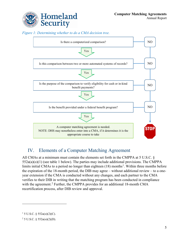

*Figure 1: Determining whether to do a CMA decision tree.*



### <span id="page-4-0"></span>IV. Elements of a Computer Matching Agreement

All CMAs at a minimum must contain the elements set forth in the CMPPA at 5 U.S.C. §  $552a(a)(o)(1)$  (see table 1 below). The parties may include additional provisions. The CMPPA limits initial CMAs to a period no longer than eighteen  $(18)$  $(18)$  $(18)$  months<sup>1</sup>. Within three months before the expiration of the 18-month period, the DIB may agree – without additional review – to a oneyear extension if the CMA is conducted without any changes, and each partner to the CMA verifies to their DIB in writing that the matching program has been conducted in compliance with the agreement.<sup>[2](#page-4-2)</sup> Further, the CMPPA provides for an additional 18-month CMA recertification process, after DIB review and approval.

 $\overline{a}$ 

<span id="page-4-1"></span> $1\,$  5 U.S.C. § 552a(o)(2)(C).

<span id="page-4-2"></span> $2$  5 U.S.C. § 552a(o)(2)(D).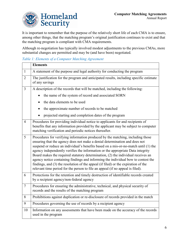

It is important to remember that the purpose of the relatively short life of each CMA is to ensure, among other things, that the matching program's original justification continues to exist and that the matching program is compliant with CMA requirements.

Although re-negotiation has typically involved modest adjustments to the previous CMAs, more substantial changes are permitted and may be (and have been) negotiated.

#### *Table 1: Elements of a Computer Matching Agreement*

|                | <b>Elements</b>                                                                                                                                                                                                                                                                                                                                                                                                                                                                                                                                                                                                                                                                         |
|----------------|-----------------------------------------------------------------------------------------------------------------------------------------------------------------------------------------------------------------------------------------------------------------------------------------------------------------------------------------------------------------------------------------------------------------------------------------------------------------------------------------------------------------------------------------------------------------------------------------------------------------------------------------------------------------------------------------|
| $\mathbf{1}$   | A statement of the purpose and legal authority for conducting the program                                                                                                                                                                                                                                                                                                                                                                                                                                                                                                                                                                                                               |
| $\overline{2}$ | The justification for the program and anticipated results, including specific estimate<br>of any savings                                                                                                                                                                                                                                                                                                                                                                                                                                                                                                                                                                                |
| $\overline{3}$ | A description of the records that will be matched, including the following:                                                                                                                                                                                                                                                                                                                                                                                                                                                                                                                                                                                                             |
|                | the name of the system of record and associated SORN                                                                                                                                                                                                                                                                                                                                                                                                                                                                                                                                                                                                                                    |
|                | the data elements to be used                                                                                                                                                                                                                                                                                                                                                                                                                                                                                                                                                                                                                                                            |
|                | the approximate number of records to be matched                                                                                                                                                                                                                                                                                                                                                                                                                                                                                                                                                                                                                                         |
|                | projected starting and completion dates of the program                                                                                                                                                                                                                                                                                                                                                                                                                                                                                                                                                                                                                                  |
| $\overline{4}$ | Procedures for providing individual notice to applicants for and recipients of<br>benefits that any information provided by the applicant may be subject to computer<br>matching verification and periodic notices thereafter.                                                                                                                                                                                                                                                                                                                                                                                                                                                          |
| 5              | Procedures for verifying information produced by the matching, including those<br>ensuring that the agency does not make a denial determination and does not<br>suspend or reduce an individual's benefits based on a mis-or-no-match until (1) the<br>agency independently verifies the information or the appropriate Data integrity<br>Board makes the required statutory determination, (2) the individual receives an<br>agency notice containing findings and informing the individual bow to contest the<br>findings, and (3) the resolution of the appeal (if filed) or the expiration of the<br>relevant time period for the person to file an appeal (if no appeal is filed). |
| 6              | Protections for the retention and timely destruction of identifiable records created<br>by a recipient agency/non-federal agency                                                                                                                                                                                                                                                                                                                                                                                                                                                                                                                                                        |
| $\overline{7}$ | Procedures for ensuring the administrative, technical, and physical security of<br>records and the results of the matching program                                                                                                                                                                                                                                                                                                                                                                                                                                                                                                                                                      |
| 8              | Prohibitions against duplication or re-disclosure of records provided in the match                                                                                                                                                                                                                                                                                                                                                                                                                                                                                                                                                                                                      |
| 9              | Procedures governing the use of records by a recipient agency                                                                                                                                                                                                                                                                                                                                                                                                                                                                                                                                                                                                                           |
| 10             | Information on any assessments that have been made on the accuracy of the records<br>used in the program                                                                                                                                                                                                                                                                                                                                                                                                                                                                                                                                                                                |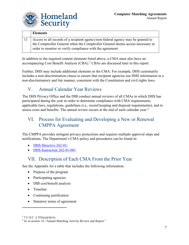

| <b>Elements</b>                                                                                                                            |
|--------------------------------------------------------------------------------------------------------------------------------------------|
| Access to all records of a recipient agency/non-federal agency may be granted to                                                           |
| the Comptroller General when the Comptroller General deems access necessary in<br>order to monitor or verify compliance with the agreement |

In addition to the required content elements listed above, a CMA must also have an accompanying Cost Benefit Analysis (CBA).<sup>[3](#page-6-3)</sup> CBAs are discussed later in this report.

Further, DHS may include additional elements in the CMA. For example, DHS customarily includes a non-discrimination clause to ensure that recipient agencies use DHS information in a non-discriminatory and fair manner, consistent with the Constitution and civil rights laws.

### <span id="page-6-0"></span>V. Annual Calendar Year Reviews

The DHS Privacy Office and the DIB conduct annual reviews of all CMAs in which DHS has participated during the year in order to determine compliance with CMA requirements, applicable laws, regulations, guidelines (i.e., record keeping and disposal requirements), and to assess costs and benefits. The annual review occurs at the end of each calendar year.<sup>[4](#page-6-4)</sup>

### <span id="page-6-1"></span>VI. Process for Evaluating and Developing a New or Renewal CMPPA Agreement

The CMPPA provides stringent privacy protections and requires multiple approval steps and notifications. The Department's CMA policy and procedures can be found in:

- [DHS Directive 262-01;](https://www.dhs.gov/publication/computer-matching-agreements-and-data-integrity-board-directive-262-01)
- [DHS Instruction 262-01-001](https://www.dhs.gov/publication/computer-matching-agreements-and-data-integrity-board-instruction-262-01-001)

### <span id="page-6-2"></span>VII. Description of Each CMA From the Prior Year

See the Appendix for a table that includes the following information:

- Purpose of the program
- Participating agencies
- DIB cost/benefit analysis
- Timeline
- Continuing justification
- Statutory terms of agreement

 $\overline{a}$ 

<span id="page-6-3"></span> $3 \text{ 5 U.S.C. }$  § 552a(u)(4)(A).

<span id="page-6-4"></span><sup>&</sup>lt;sup>4</sup> *Id.* at section 14, "Annual Matching Activity Review and Report."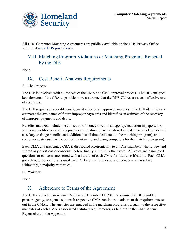

All DHS Computer Matching Agreements are publicly available on the DHS Privacy Office website at [www.DHS.gov/privacy.](https://www.dhs.gov/publication/computer-matching-agreements-and-notices)

#### <span id="page-7-0"></span>VIII. Matching Program Violations or Matching Programs Rejected by the DIB

<span id="page-7-1"></span>None.

#### IX. Cost Benefit Analysis Requirements

A. The Process:

The DIB is involved with all aspects of the CMA and CBA approval process. The DIB analyzes key elements of the CBA to provide more assurance that the DHS CMAs are a cost effective use of resources.

The DIB requires a favorable cost-benefit ratio for all approved matches. The DIB identifies and estimates the avoidance of future improper payments and identifies an estimate of the recovery of improper payments and debts.

Benefits analyzed include the collection of money owed to an agency, reduction in paperwork, and personnel-hours saved via process automation. Costs analyzed include personnel costs (such as salary or fringe benefits and additional staff time dedicated to the matching program), and computer costs (such as the cost of maintaining and using computers for the matching program).

Each CMA and associated CBA is distributed electronically to all DIB members who review and submit any questions or concerns, before finally submitting their vote. All votes and associated questions or concerns are stored with all drafts of each CMA for future verification. Each CMA goes through several drafts until each DIB member's questions or concerns are resolved. Ultimately, a majority vote rules.

B. Waivers:

None.

#### <span id="page-7-2"></span>X. Adherence to Terms of the Agreement

The DIB conducted an Annual Review on December 11, 2018, to ensure that DHS and the partner agency, or agencies, in each respective CMA continues to adhere to the requirements set out in the CMAs. The agencies are engaged in the matching programs pursuant to the respective mandates of each CMA's associated statutory requirements, as laid out in the CMA Annual Report chart in the Appendix.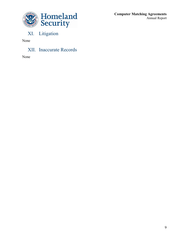

**Computer Matching Agreements** Annual Report

# <span id="page-8-0"></span>XI. Litigation

None

<span id="page-8-2"></span><span id="page-8-1"></span>XII. Inaccurate Records

None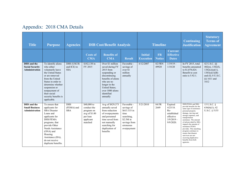| <b>Title</b>                                                          | <b>Purpose</b>                                                                                                                                                                                                                                      | <b>Agencies</b>                                | <b>DIB Cost/Benefit Analysis</b>                                                              |                                                                                                                                                                                                         |                                                                                                                          |                                    | <b>Timeline</b>            |                                                                                          | <b>Continuing</b><br><b>Justification</b>                                                                                                                                                                                                                                                                                                                                                                                  | <b>Statutory</b><br><b>Terms</b> of<br><b>Agreement</b>                                                               |
|-----------------------------------------------------------------------|-----------------------------------------------------------------------------------------------------------------------------------------------------------------------------------------------------------------------------------------------------|------------------------------------------------|-----------------------------------------------------------------------------------------------|---------------------------------------------------------------------------------------------------------------------------------------------------------------------------------------------------------|--------------------------------------------------------------------------------------------------------------------------|------------------------------------|----------------------------|------------------------------------------------------------------------------------------|----------------------------------------------------------------------------------------------------------------------------------------------------------------------------------------------------------------------------------------------------------------------------------------------------------------------------------------------------------------------------------------------------------------------------|-----------------------------------------------------------------------------------------------------------------------|
|                                                                       |                                                                                                                                                                                                                                                     |                                                | <b>Costs of</b><br><b>CMA</b>                                                                 | <b>Benefits of</b><br><b>CMA</b>                                                                                                                                                                        | <b>Result</b>                                                                                                            | <b>Initial</b><br><b>Execution</b> | <b>FR</b><br><b>Notice</b> | <b>Current</b><br><b>Effective</b><br><b>Dates</b>                                       |                                                                                                                                                                                                                                                                                                                                                                                                                            |                                                                                                                       |
| <b>DHS</b> and the<br><b>Social Security</b><br><b>Administration</b> | To identify aliens<br>who either<br>voluntarily leave<br>the United States<br>or are removed<br>from the United<br>States in order to<br>determine whether<br>suspension or<br>nonpayment of<br>their social<br>security benefits is<br>applicable. | <b>DHS (USCIS</b><br>and ICE) to<br><b>SSA</b> | \$182,130 in<br>FY 2015                                                                       | Over \$1 million<br>saved during FY<br>2015 from<br>suspending or<br>discontinuing<br>benefits of aliens<br>who are no<br>longer in the<br>United States;<br>over 1000 aliens<br>identified<br>annually | Favorable -<br>savings of<br>over \$1<br>million<br>annually                                                             | 6/12/2007                          | <b>82 FRN</b><br>49920     | $1/19/19$ -<br>1/18/20                                                                   | In FY 2015, total<br>benefits amounted<br>to \$1,078,024.<br>Benefit to cost<br>ratio is 5.92:1.                                                                                                                                                                                                                                                                                                                           | 42 U.S.C. §§<br>$402(n)$ , 1382(f),<br>$1382(c)(a)(1)$ ,<br>1383(e)(1)(B)<br>and (f); 8 U.S.C.<br>§§ 1611 and<br>1612 |
| <b>DHS</b> and the<br><b>Small Business</b><br><b>Administration</b>  | To ensure that<br>applicants for<br><b>SBA</b> Disaster<br>Loans and<br>applicants for<br>DHS/FEMA<br>programs, that<br>provide Other<br>Needs Assistance<br>(ONA) and<br>Housing<br>Assistance (HA),<br>do not receive<br>duplicate benefits.      | <b>DHS</b><br>(FEMA) and<br><b>SBA</b>         | \$40,000 to<br>conduct the<br>program on<br>avg of \$1.00<br>per loan<br>applicant<br>matched | Avg of \$829,373<br>annually saved<br>from reduction<br>of overpayments<br>and personnel<br>time saved from<br>not manually<br>searching for<br>duplication of<br>benefits                              | Favorable -<br>savings of<br>\$615.333 in<br>time<br>searching,<br>\$2.5M in<br>savings from<br>erroneous<br>overpayment | 5/21/2010                          | 84 FR<br>2649              | Expired<br>$4/25/18$ .<br>$Re-$<br>established<br>effective<br>$3/9/2019$ -<br>9/9/2020. | DHS/FEMA and SBA<br>provide benefits for the<br>same type of assistance:<br>personal property<br>damage, moving and<br>storage expenses, and<br>transportation<br>assistance. The amount<br>of aid provided by SBA<br>impacts the amount of<br>assistance FEMA<br>provides. This matching<br>program continues to<br>ensure that disaster<br>survivors are not<br>receiving duplicative<br>benefits from both<br>agencies. | 15 U.S.C. $\S$<br>$636(b)(1)$ ; 42<br>U.S.C. § 5155                                                                   |

## Appendix: 2018 CMA Details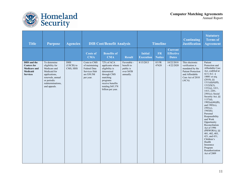

| <b>Title</b>                                                                                   | <b>Purpose</b>                                                                                                                                           | <b>Agencies</b>                      | <b>DIB Cost/Benefit Analysis</b>                                                           |                                                                                                                                                                     |                                                                   | <b>Timeline</b>                    |                            |                                                    | <b>Continuing</b><br><b>Justification</b>                                                                                          | <b>Statutory</b><br><b>Terms</b> of<br><b>Agreement</b>                                                                                                                                                                                                                                                                                                                                                                                                                                                                                             |
|------------------------------------------------------------------------------------------------|----------------------------------------------------------------------------------------------------------------------------------------------------------|--------------------------------------|--------------------------------------------------------------------------------------------|---------------------------------------------------------------------------------------------------------------------------------------------------------------------|-------------------------------------------------------------------|------------------------------------|----------------------------|----------------------------------------------------|------------------------------------------------------------------------------------------------------------------------------------|-----------------------------------------------------------------------------------------------------------------------------------------------------------------------------------------------------------------------------------------------------------------------------------------------------------------------------------------------------------------------------------------------------------------------------------------------------------------------------------------------------------------------------------------------------|
|                                                                                                |                                                                                                                                                          |                                      | <b>Costs of</b><br><b>CMA</b>                                                              | <b>Benefits of</b><br><b>CMA</b>                                                                                                                                    | <b>Result</b>                                                     | <b>Initial</b><br><b>Execution</b> | <b>FR</b><br><b>Notice</b> | <b>Current</b><br><b>Effective</b><br><b>Dates</b> |                                                                                                                                    |                                                                                                                                                                                                                                                                                                                                                                                                                                                                                                                                                     |
| DHS and the<br><b>Centers</b> for<br><b>Medicare and</b><br><b>Medicaid</b><br><b>Services</b> | To determine<br>eligibility for<br>Medicare and<br>Medicaid for<br>applications,<br>renewals, annual<br>or periodic<br>redeterminations,<br>and appeals. | <b>DHS</b><br>(USCIS) to<br>CMS, HHS | Costs to CMS<br>of maintaining<br>Federal Data<br>Services Hub<br>are \$30.5M<br>per year. | 72% of ACA<br>applicants whose<br>eligibility is<br>determined<br>through CMS<br>matching<br>programs<br>receive benefits<br>totaling \$45.378<br>billion per year. | Favorable -<br>benefit to<br>public is<br>over \$45B<br>annually. | 8/15/2013                          | 83 FR<br>47620             | 10/22/2018<br>$-4/22/2020$                         | This electronic<br>verification is<br>mandated by the<br><b>Patient Protection</b><br>and Affordable<br>Care Act of 2010<br>(ACA). | Patient<br>Protection and<br>Affordable Care<br>Act, codified at<br>42 U.S.C. §<br>18001 et seq.<br>(2010), § §<br>$1311(d)(4)(H)$ ,<br>$1312(f)(3)$ ,<br>$1331(e)$ , 1411,<br>1413, 2201,<br>$2501(c)$ ; Social<br>Security Act, §§<br>1137(d),<br>$1902(a)(46)(B)$ ,<br>and $1903(x)$ ,<br>$2501(c)$ ,<br>1943(b);<br>Personal<br>Responsibility<br>and Work<br>Opportunity<br>Reconciliation<br>Act of 1996<br>(PRWORA), §§<br>401, 402, 403,<br>421, and 431;<br>Children's<br>Health<br>Insurance<br>Program<br>Reauthorization<br>Act of 2009 |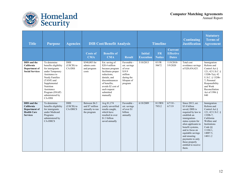



| <b>Title</b>                                                                               | <b>Purpose</b>                                                                                                                                                                                                              | <b>Agencies</b>                            | <b>Timeline</b><br><b>DIB Cost/Benefit Analysis</b>                |                                                                                                                                                                                                            |                                                                                                     | Continuing<br><b>Justification</b> | <b>Statutory</b><br><b>Terms of</b><br><b>Agreement</b> |                                                    |                                                                                                                                                                                                                                                                                                        |                                                                                                                                                                                                    |
|--------------------------------------------------------------------------------------------|-----------------------------------------------------------------------------------------------------------------------------------------------------------------------------------------------------------------------------|--------------------------------------------|--------------------------------------------------------------------|------------------------------------------------------------------------------------------------------------------------------------------------------------------------------------------------------------|-----------------------------------------------------------------------------------------------------|------------------------------------|---------------------------------------------------------|----------------------------------------------------|--------------------------------------------------------------------------------------------------------------------------------------------------------------------------------------------------------------------------------------------------------------------------------------------------------|----------------------------------------------------------------------------------------------------------------------------------------------------------------------------------------------------|
|                                                                                            |                                                                                                                                                                                                                             |                                            | <b>Costs of</b><br><b>CMA</b>                                      | <b>Benefits of</b><br><b>CMA</b>                                                                                                                                                                           | <b>Result</b>                                                                                       | <b>Initial</b><br><b>Execution</b> | <b>FR</b><br><b>Notice</b>                              | <b>Current</b><br><b>Effective</b><br><b>Dates</b> |                                                                                                                                                                                                                                                                                                        |                                                                                                                                                                                                    |
| <b>DHS</b> and the<br>California<br>Department of<br><b>Social Services</b>                | To determine<br>benefits eligibility<br>for immigrants<br>under Temporary<br>Assistance to<br>Needy Families<br>(TANF) and<br>Supplemental<br><b>Nutrition</b><br>Assistance<br>Program (SNAP)<br>administered by<br>CA-DSS | <b>DHS</b><br>(USCIS) to<br>CA-DSS         | \$540,003 for<br>admin costs<br>and program<br>costs               | Est. saving of<br>\$20.4 million<br>because program<br>facilitates proper<br>reductions,<br>denials, and<br>discontinuances<br>of benefits:<br>avoids \$2 cost of<br>each request<br>submitted<br>manually | Favorable -<br>est. savings<br>of over<br>\$19.9<br>million<br>during the<br>lifespan of<br>program | 5/10/2013                          | 83 FR<br>50672                                          | $11/8/2018$ -<br>5/9/2020                          | Total cost<br>avoidance savings<br>of \$20,434,425.                                                                                                                                                                                                                                                    | Immigration<br>Reform and<br>Control Act §<br>121; 42 U.S.C. §<br>$1320b - 7(a)$ ; 42<br>U.S.C. § 1320b-<br>7; Personal<br>Responsibility<br>and Work<br>Reconciliation<br>Act of 1996 $\S$<br>840 |
| <b>DHS</b> and the<br>California<br>Department of<br><b>Health Care</b><br><b>Services</b> | To determine<br>benefits eligibility<br>for immigrants<br>under Medicaid<br>Programs<br>administered by<br><b>CA-DHCS</b>                                                                                                   | <b>DHS</b><br>(USCIS) to<br><b>CA-DHCS</b> | Between \$6.3<br>and \$7 million<br>annually to run<br>the program | Avg 81,174<br>yearly unverified<br>results caught,<br>which have<br>resulted in over<br>\$1.3 billion<br>saved annually                                                                                    | Favorable -<br>est. savings<br>of over \$1<br>billion<br>annually                                   | 6/18/2009                          | <b>81 FRN</b><br>79512                                  | $6/7/18$ -<br>6/7/19                               | Since 2013, est.<br>\$3.8 billion<br>saved; DHS is<br>required by law to<br>establish an<br>immigration-<br>status system for<br>alien applicants to<br>benefit systems,<br>and to focus on<br>equitable savings<br>and ensuring<br>payments to only<br>those properly<br>entitled to receive<br>them. | Immigration<br>Reform and<br>Control Act §<br>121; 42 U.S.C. §<br>$1320b - 7$ ;<br>California<br>Welfare and<br>Institutions<br>Code $\S$<br>11104.1.<br>14007.5,<br>14011.2                       |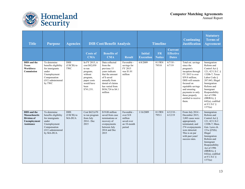



| <b>Title</b>                                                                                   | <b>Purpose</b>                                                                                                                    | <b>Agencies</b>                           |                                                                                                                                 | <b>DIB Cost/Benefit Analysis</b>                                                                                                                                                       |                                                                            | <b>Timeline</b>                    |                            |                                                    | <b>Continuing</b><br><b>Justification</b>                                                                                                                                                                                                             | <b>Statutory</b><br><b>Terms</b> of<br><b>Agreement</b>                                                                                                                                                                                                                         |
|------------------------------------------------------------------------------------------------|-----------------------------------------------------------------------------------------------------------------------------------|-------------------------------------------|---------------------------------------------------------------------------------------------------------------------------------|----------------------------------------------------------------------------------------------------------------------------------------------------------------------------------------|----------------------------------------------------------------------------|------------------------------------|----------------------------|----------------------------------------------------|-------------------------------------------------------------------------------------------------------------------------------------------------------------------------------------------------------------------------------------------------------|---------------------------------------------------------------------------------------------------------------------------------------------------------------------------------------------------------------------------------------------------------------------------------|
|                                                                                                |                                                                                                                                   |                                           | <b>Costs of</b><br><b>CMA</b>                                                                                                   | <b>Benefits of</b><br><b>CMA</b>                                                                                                                                                       | <b>Result</b>                                                              | <b>Initial</b><br><b>Execution</b> | <b>FR</b><br><b>Notice</b> | <b>Current</b><br><b>Effective</b><br><b>Dates</b> |                                                                                                                                                                                                                                                       |                                                                                                                                                                                                                                                                                 |
| <b>DHS</b> and the<br><b>Texas</b><br>Workforce<br><b>Commission</b>                           | To determine<br>benefits eligibility<br>for immigrants<br>under<br>Unemployment<br>Compensation<br>(UC) administered<br>by TWC    | <b>DHS</b><br>(USCIS) to<br>TWC           | In FY 2015, it<br>cost \$82,030<br>to run<br>program;<br>without<br>program,<br>paper costs<br>would have<br>been<br>\$741,331. | Data collected<br>from the<br>previous 15<br>years indicate<br>that the amount<br>of \$ saved<br>annually from<br>denial of claims<br>has varied from<br>\$836,724 to \$4.1<br>million | Favorable -<br>savings for<br>FY 2015<br>was \$1.01<br>million             | 6/8/2009                           | <b>81 FRN</b><br>79510     | $6/7/18$ -<br>6/7/19                               | Total est. savings<br>since the<br>program's<br>inception through<br>$FY$ 2015 is over<br>\$59.8 million;<br>DHS will remain<br>focused on<br>equitable savings<br>and ensuring<br>payments to only<br>those properly<br>entitled to receive<br>them. | Immigration<br>Reform and<br>Control Act §<br>121; 42 U.S.C. §<br>1320b-7; Texas<br>Labor Code §<br>207.043; Illegal<br>Immigration<br>Reform and<br>Immigrant<br>Responsibility<br>Act of 1996<br>$(IIRIRA)$ , $§$<br>642(a), codified<br>at 8 U.S.C $\S$<br>1373(a)           |
| <b>DHS</b> and the<br><b>Massachusetts</b><br><b>Division of</b><br>Unemployment<br>Assistance | To determine<br>benefits eligibility<br>for immigrants<br>under<br>Unemployment<br>Compensation<br>(UC) administered<br>by MA-DUA | <b>DHS</b><br>(USCIS) to<br><b>MA-DUA</b> | Cost \$623,670<br>to run program<br>from July<br>$2014 - Dec$<br>2015                                                           | \$19.08 million<br>saved from case<br>terminations or<br>recovery of<br>overpayments<br>between July<br>2014 and Dec<br>2015                                                           | Favorable -<br>over \$18<br>million<br>saved over<br>an 18-month<br>period | 1/16/2009                          | <b>81 FRN</b><br>79511     | $6/12/18 -$<br>6/12/19                             | From July 2014 -<br>December 2015,<br>3,003 cases were<br>appropriately<br>terminated, and<br>274 overpayments<br>were detected.<br>This is on par<br>with past years'<br>success rates.                                                              | Immigration<br>Reform and<br>Control Act §<br>121; 42 U.S.C.<br>1320b-7; Mass.<br>Gen. Laws ch.<br>$151a$ §25(h);<br>Illegal<br>Immigration<br>Reform and<br>Immigrant<br>Responsibility<br>Act of 1996<br>$(IRIRA)$ , $§$<br>$642(a)$ , codified<br>at 8 U.S.C $\S$<br>1373(a) |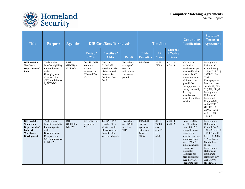

| <b>Title</b>                                                                                           | <b>Purpose</b>                                                                                                                     | <b>Agencies</b>                     |                                                                                | <b>DIB Cost/Benefit Analysis</b>                                                                            |                                                                                 |                                                                      | <b>Timeline</b>                                                  |                                                    | <b>Continuing</b><br><b>Justification</b>                                                                                                                                                                                                                                      | <b>Statutory</b><br><b>Terms</b> of<br><b>Agreement</b>                                                                                                                                                                                                                                                              |
|--------------------------------------------------------------------------------------------------------|------------------------------------------------------------------------------------------------------------------------------------|-------------------------------------|--------------------------------------------------------------------------------|-------------------------------------------------------------------------------------------------------------|---------------------------------------------------------------------------------|----------------------------------------------------------------------|------------------------------------------------------------------|----------------------------------------------------|--------------------------------------------------------------------------------------------------------------------------------------------------------------------------------------------------------------------------------------------------------------------------------|----------------------------------------------------------------------------------------------------------------------------------------------------------------------------------------------------------------------------------------------------------------------------------------------------------------------|
|                                                                                                        |                                                                                                                                    |                                     | <b>Costs of</b><br><b>CMA</b>                                                  | <b>Benefits of</b><br><b>CMA</b>                                                                            | <b>Result</b>                                                                   | <b>Initial</b><br><b>Execution</b>                                   | <b>FR</b><br><b>Notice</b>                                       | <b>Current</b><br><b>Effective</b><br><b>Dates</b> |                                                                                                                                                                                                                                                                                |                                                                                                                                                                                                                                                                                                                      |
| <b>DHS</b> and the<br><b>New York</b><br>Department of<br>Labor                                        | To determine<br>benefits eligibility<br>for immigrants<br>under<br>Unemployment<br>Compensation<br>(UC) administered<br>by NYS-DOL | <b>DHS</b><br>(USCIS) to<br>NYS-DOL | Cost \$827,661<br>to run the<br>program<br>between Jan<br>2014 and Dec<br>2015 | Total of<br>\$3,142,958<br>saved from 586<br>claims denied<br>between Jan<br>2014 and Dec<br>2015           | Favorable -<br>savings of<br>over \$3.1<br>million over<br>a two-year<br>period | 1/16/2009                                                            | 81 FR<br>79509                                                   | $6/28/18$ -<br>6/28/19                             | NYS did not<br>establish a<br>baseline cost per<br>alien verification<br>prior to SAVE.<br>but notes that in<br>addition to the<br>quantifiable<br>savings, there is a<br>saving realized by<br>deterring<br>unauthorized<br>aliens from filing<br>a claim.                    | Immigration<br>Reform and<br>Control Act $\S$<br>121; 42 U.S.C. §<br>1320b-7; New<br>York<br>Unemployment<br>Insurance Law,<br>Article 18, Title<br>7, § 590; Illegal<br>Immigration<br>Reform and<br>Immigrant<br>Responsibility<br>Act of 1996<br>$(IIRIRA)$ , §<br>642(a), codified<br>at 8 U.S.C $\S$<br>1373(a) |
| DHS and the<br><b>New Jersey</b><br>Department of<br>Labor &<br><b>Workforce</b><br><b>Development</b> | To determine<br>benefits eligibility<br>for immigrants<br>under<br>Unemployment<br>Compensation<br>(UC) administered<br>by NJ-LWD  | <b>DHS</b><br>(USCIS) to<br>NJ-LWD  | \$21,343 to run<br>program in<br>2015                                          | Est. \$231,192<br>saved in 2015,<br>identifying 38<br>aliens receiving<br>benefits who<br>were not eligible | Favorable -<br>over \$200k<br>saved in<br>2015                                  | 1/16/2009<br>(earlier<br>agreement<br>dates from<br>January<br>2005) | <b>81 FRN</b><br>79508<br>(see<br>also 77<br><b>FRN</b><br>6028) | $6/28/18$ -<br>6/28/19                             | Between 2006<br>and 2015 there<br>were 38 to 205<br>ineligible aliens<br>(each year)<br>identified, saving<br>anywhere from<br>\$231,192 to \$1.1<br>million annually.<br>Numbers of<br>ineligibles<br>identified has<br>been decreasing<br>over the years,<br>suggesting that | Immigration<br>Reform and<br>Control Act §<br>121; 42 U.S.C. §<br>$1320b - 7(a)$ ; 42<br>U.S.C. § 1320b-<br>7; New Jersey<br>Statute 43:21-4;<br>Illegal<br>Immigration<br>Reform and<br>Immigrant<br>Responsibility<br>Act of 1996<br>(IIRIRA), $\S$                                                                |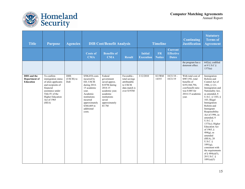

| <b>Title</b>                                     | <b>Purpose</b>                                                                                                                                                                      | <b>Agencies</b>                 |                                                                                                                                                                                      | <b>DIB Cost/Benefit Analysis</b>                                                                                                                     |                                                                                          |                                    | <b>Timeline</b>            |                                                    | <b>Continuing</b><br><b>Justification</b>                                                                                                     | <b>Statutory</b><br><b>Terms</b> of<br><b>Agreement</b>                                                                                                                                                                                                                                                                                                                                                                                                                                        |
|--------------------------------------------------|-------------------------------------------------------------------------------------------------------------------------------------------------------------------------------------|---------------------------------|--------------------------------------------------------------------------------------------------------------------------------------------------------------------------------------|------------------------------------------------------------------------------------------------------------------------------------------------------|------------------------------------------------------------------------------------------|------------------------------------|----------------------------|----------------------------------------------------|-----------------------------------------------------------------------------------------------------------------------------------------------|------------------------------------------------------------------------------------------------------------------------------------------------------------------------------------------------------------------------------------------------------------------------------------------------------------------------------------------------------------------------------------------------------------------------------------------------------------------------------------------------|
|                                                  |                                                                                                                                                                                     |                                 | <b>Costs of</b><br><b>CMA</b>                                                                                                                                                        | <b>Benefits of</b><br><b>CMA</b>                                                                                                                     | <b>Result</b>                                                                            | <b>Initial</b><br><b>Execution</b> | <b>FR</b><br><b>Notice</b> | <b>Current</b><br><b>Effective</b><br><b>Dates</b> |                                                                                                                                               |                                                                                                                                                                                                                                                                                                                                                                                                                                                                                                |
|                                                  |                                                                                                                                                                                     |                                 |                                                                                                                                                                                      |                                                                                                                                                      |                                                                                          |                                    |                            |                                                    | the program has a<br>deterrent effect.                                                                                                        | $642(a)$ , codified<br>at 8 U.S.C $\S$<br>1373(a)                                                                                                                                                                                                                                                                                                                                                                                                                                              |
| <b>DHS</b> and the<br>Department of<br>Education | To confirm<br>immigration status<br>of alien applicants<br>and recipients of<br>financial<br>assistance under<br>Title IV of the<br><b>Higher Education</b><br>Act of 1965<br>(HEA) | <b>DHS</b><br>(USCIS) to<br>DoE | \$506,854 costs<br>incurred by<br>ED, USCIS<br>during 2014-<br>15 academic<br>year.<br>Academic<br>institutions<br>incurred<br>approximately<br>\$360,469 in<br>additional<br>costs. | Federal<br>government<br>saved approx.<br>\$187M during<br>2014-15<br>academic year;<br>academic<br>institutions<br>saved<br>approximately<br>\$5.7M | Favorable--<br>total savings<br>attributable<br>to USCIS<br>data match is<br>over \$193M | 3/12/2010                          | 82 FRM<br>14355            | $10/21/18$ -<br>10/21/19                           | With total cost of<br>\$987,592, total<br>benefits of<br>\$193,568,794,<br>cost/benefit ratio<br>was $0.005$ for<br>2014-15 academic<br>year. | Immigration<br>Reform and<br>Control Act of<br>1986, § 121;<br>Immigration and<br>Nationality Act,<br>as amended, 8<br>U.S.C. § 1103, §<br>103; Illegal<br>Immigration<br>Reform and<br>Immigrant<br>Responsibility<br>Act of 1996, as<br>amended, 8<br>$U.S.C.$ §<br>$1373(c)$ ; Higher<br><b>Education Act</b><br>of 1965, §<br>$484(g)$ , as<br>amended<br>(HEA), 20<br>U.S.C. $\S$<br>$1091(g)$ ,<br>consistent with<br>the requirements<br>of $§$ 484(a)(5),<br>20 U.S.C. §<br>1091(a)(5) |